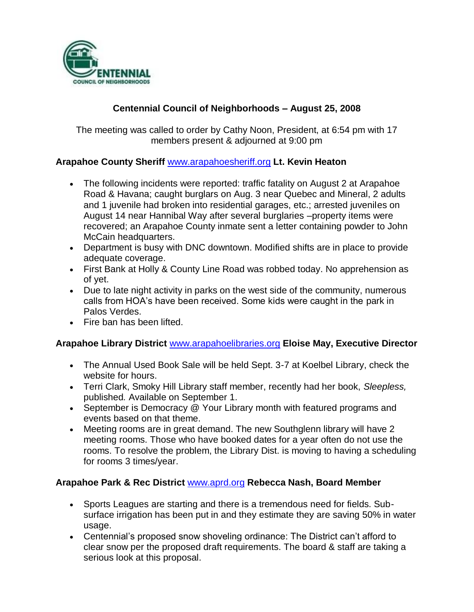

# **Centennial Council of Neighborhoods – August 25, 2008**

The meeting was called to order by Cathy Noon, President, at 6:54 pm with 17 members present & adjourned at 9:00 pm

# **Arapahoe County Sheriff** [www.arapahoesheriff.org](http://www.arapahoesheriff.org/) **Lt. Kevin Heaton**

- The following incidents were reported: traffic fatality on August 2 at Arapahoe Road & Havana; caught burglars on Aug. 3 near Quebec and Mineral, 2 adults and 1 juvenile had broken into residential garages, etc.; arrested juveniles on August 14 near Hannibal Way after several burglaries –property items were recovered; an Arapahoe County inmate sent a letter containing powder to John McCain headquarters.
- Department is busy with DNC downtown. Modified shifts are in place to provide adequate coverage.
- First Bank at Holly & County Line Road was robbed today. No apprehension as of yet.
- Due to late night activity in parks on the west side of the community, numerous calls from HOA's have been received. Some kids were caught in the park in Palos Verdes.
- Fire ban has been lifted.

### **Arapahoe Library District** [www.arapahoelibraries.org](http://www.arapahoelibraries.org/) **Eloise May, Executive Director**

- The Annual Used Book Sale will be held Sept. 3-7 at Koelbel Library, check the website for hours.
- Terri Clark, Smoky Hill Library staff member, recently had her book, *Sleepless,* published*.* Available on September 1.
- September is Democracy @ Your Library month with featured programs and events based on that theme.
- Meeting rooms are in great demand. The new Southglenn library will have 2 meeting rooms. Those who have booked dates for a year often do not use the rooms. To resolve the problem, the Library Dist. is moving to having a scheduling for rooms 3 times/year.

### **Arapahoe Park & Rec District** [www.aprd.org](http://www.aprd.org/) **Rebecca Nash, Board Member**

- Sports Leagues are starting and there is a tremendous need for fields. Subsurface irrigation has been put in and they estimate they are saving 50% in water usage.
- Centennial's proposed snow shoveling ordinance: The District can't afford to clear snow per the proposed draft requirements. The board & staff are taking a serious look at this proposal.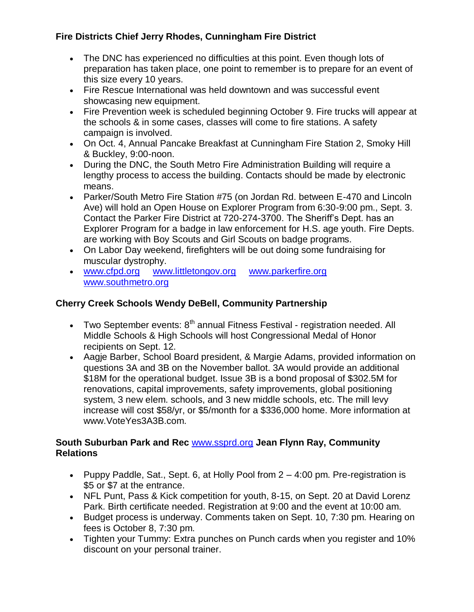# **Fire Districts Chief Jerry Rhodes, Cunningham Fire District**

- The DNC has experienced no difficulties at this point. Even though lots of preparation has taken place, one point to remember is to prepare for an event of this size every 10 years.
- Fire Rescue International was held downtown and was successful event showcasing new equipment.
- Fire Prevention week is scheduled beginning October 9. Fire trucks will appear at the schools & in some cases, classes will come to fire stations. A safety campaign is involved.
- On Oct. 4, Annual Pancake Breakfast at Cunningham Fire Station 2, Smoky Hill & Buckley, 9:00-noon.
- During the DNC, the South Metro Fire Administration Building will require a lengthy process to access the building. Contacts should be made by electronic means.
- Parker/South Metro Fire Station #75 (on Jordan Rd. between E-470 and Lincoln Ave) will hold an Open House on Explorer Program from 6:30-9:00 pm., Sept. 3. Contact the Parker Fire District at 720-274-3700. The Sheriff's Dept. has an Explorer Program for a badge in law enforcement for H.S. age youth. Fire Depts. are working with Boy Scouts and Girl Scouts on badge programs.
- On Labor Day weekend, firefighters will be out doing some fundraising for muscular dystrophy.
- [www.cfpd.org](http://www.cfpd.org/) [www.littletongov.org](http://www.littletongov.org/) [www.parkerfire.org](http://www.parkerfire.org/)  [www.southmetro.org](http://www.southmetro.org/)

# **Cherry Creek Schools Wendy DeBell, Community Partnership**

- Two September events:  $8<sup>th</sup>$  annual Fitness Festival registration needed. All Middle Schools & High Schools will host Congressional Medal of Honor recipients on Sept. 12.
- Aagje Barber, School Board president, & Margie Adams, provided information on questions 3A and 3B on the November ballot. 3A would provide an additional \$18M for the operational budget. Issue 3B is a bond proposal of \$302.5M for renovations, capital improvements, safety improvements, global positioning system, 3 new elem. schools, and 3 new middle schools, etc. The mill levy increase will cost \$58/yr, or \$5/month for a \$336,000 home. More information at www.VoteYes3A3B.com.

# **South Suburban Park and Rec** [www.ssprd.org](http://www.ssprd.org/) **Jean Flynn Ray, Community Relations**

- Puppy Paddle, Sat., Sept. 6, at Holly Pool from  $2 4:00$  pm. Pre-registration is \$5 or \$7 at the entrance.
- NFL Punt, Pass & Kick competition for youth, 8-15, on Sept. 20 at David Lorenz Park. Birth certificate needed. Registration at 9:00 and the event at 10:00 am.
- Budget process is underway. Comments taken on Sept. 10, 7:30 pm. Hearing on fees is October 8, 7:30 pm.
- Tighten your Tummy: Extra punches on Punch cards when you register and 10% discount on your personal trainer.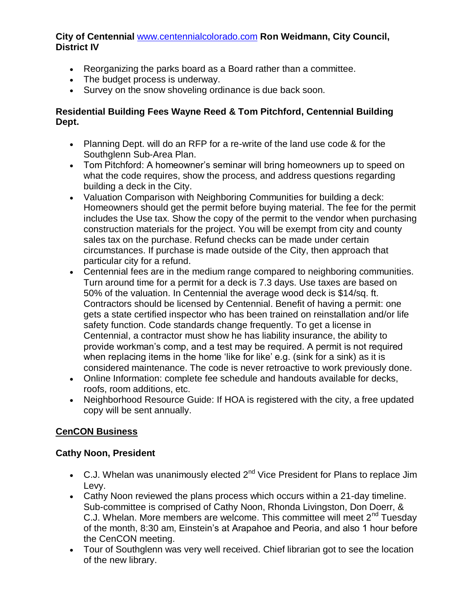## **City of Centennial** [www.centennialcolorado.com](http://www.centennialcolorado.com/) **Ron Weidmann, City Council, District IV**

- Reorganizing the parks board as a Board rather than a committee.
- The budget process is underway.
- Survey on the snow shoveling ordinance is due back soon.

## **Residential Building Fees Wayne Reed & Tom Pitchford, Centennial Building Dept.**

- Planning Dept. will do an RFP for a re-write of the land use code & for the Southglenn Sub-Area Plan.
- Tom Pitchford: A homeowner's seminar will bring homeowners up to speed on what the code requires, show the process, and address questions regarding building a deck in the City.
- Valuation Comparison with Neighboring Communities for building a deck: Homeowners should get the permit before buying material. The fee for the permit includes the Use tax. Show the copy of the permit to the vendor when purchasing construction materials for the project. You will be exempt from city and county sales tax on the purchase. Refund checks can be made under certain circumstances. If purchase is made outside of the City, then approach that particular city for a refund.
- Centennial fees are in the medium range compared to neighboring communities. Turn around time for a permit for a deck is 7.3 days. Use taxes are based on 50% of the valuation. In Centennial the average wood deck is \$14/sq. ft. Contractors should be licensed by Centennial. Benefit of having a permit: one gets a state certified inspector who has been trained on reinstallation and/or life safety function. Code standards change frequently. To get a license in Centennial, a contractor must show he has liability insurance, the ability to provide workman's comp, and a test may be required. A permit is not required when replacing items in the home 'like for like' e.g. (sink for a sink) as it is considered maintenance. The code is never retroactive to work previously done.
- Online Information: complete fee schedule and handouts available for decks, roofs, room additions, etc.
- Neighborhood Resource Guide: If HOA is registered with the city, a free updated copy will be sent annually.

# **CenCON Business**

### **Cathy Noon, President**

- C.J. Whelan was unanimously elected  $2^{nd}$  Vice President for Plans to replace Jim Levy.
- Cathy Noon reviewed the plans process which occurs within a 21-day timeline. Sub-committee is comprised of Cathy Noon, Rhonda Livingston, Don Doerr, & C.J. Whelan. More members are welcome. This committee will meet 2<sup>nd</sup> Tuesday of the month, 8:30 am, Einstein's at Arapahoe and Peoria, and also 1 hour before the CenCON meeting.
- Tour of Southglenn was very well received. Chief librarian got to see the location of the new library.